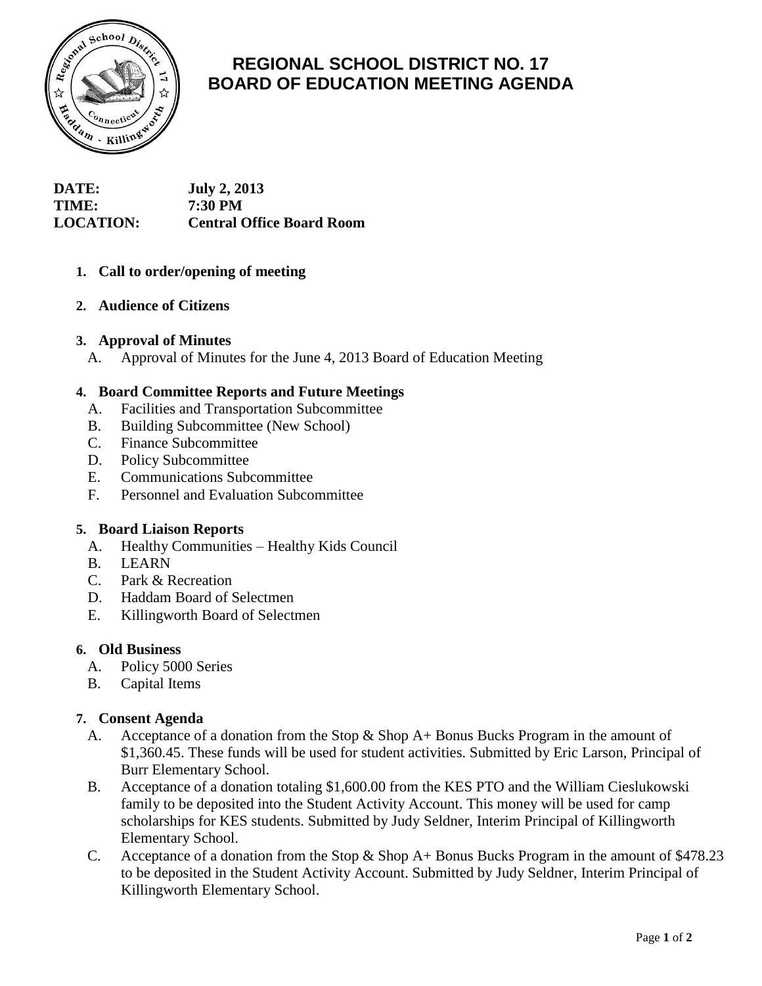

# **REGIONAL SCHOOL DISTRICT NO. 17 BOARD OF EDUCATION MEETING AGENDA**

| <b>DATE:</b>     | <b>July 2, 2013</b>              |
|------------------|----------------------------------|
| <b>TIME:</b>     | <b>7:30 PM</b>                   |
| <b>LOCATION:</b> | <b>Central Office Board Room</b> |

# **1. Call to order/opening of meeting**

# **2. Audience of Citizens**

#### **3. Approval of Minutes**

A. Approval of Minutes for the June 4, 2013 Board of Education Meeting

## **4. Board Committee Reports and Future Meetings**

- A. Facilities and Transportation Subcommittee
- B. Building Subcommittee (New School)
- C. Finance Subcommittee
- D. Policy Subcommittee
- E. Communications Subcommittee
- F. Personnel and Evaluation Subcommittee

# **5. Board Liaison Reports**

- A. Healthy Communities Healthy Kids Council
- B. LEARN
- C. Park & Recreation
- D. Haddam Board of Selectmen
- E. Killingworth Board of Selectmen

#### **6. Old Business**

- A. Policy 5000 Series
- B. Capital Items

# **7. Consent Agenda**

- A. Acceptance of a donation from the Stop  $\&$  Shop A+ Bonus Bucks Program in the amount of \$1,360.45. These funds will be used for student activities. Submitted by Eric Larson, Principal of Burr Elementary School.
- B. Acceptance of a donation totaling \$1,600.00 from the KES PTO and the William Cieslukowski family to be deposited into the Student Activity Account. This money will be used for camp scholarships for KES students. Submitted by Judy Seldner, Interim Principal of Killingworth Elementary School.
- C. Acceptance of a donation from the Stop & Shop A+ Bonus Bucks Program in the amount of \$478.23 to be deposited in the Student Activity Account. Submitted by Judy Seldner, Interim Principal of Killingworth Elementary School.